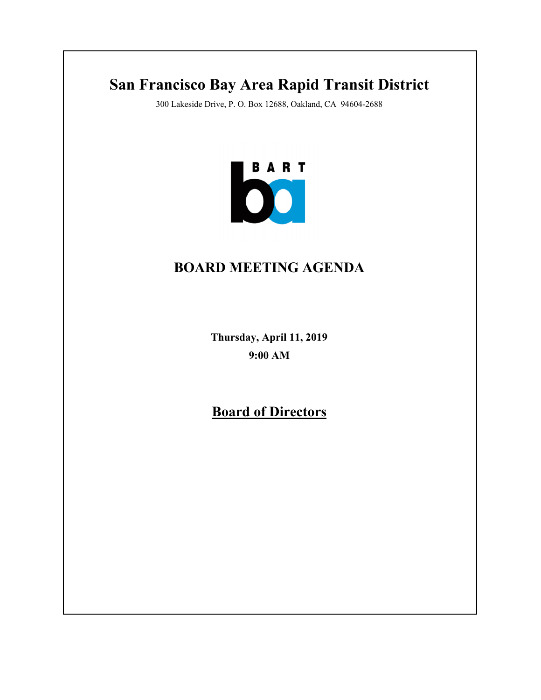# **San Francisco Bay Area Rapid Transit District**

300 Lakeside Drive, P. O. Box 12688, Oakland, CA 94604-2688



# **BOARD MEETING AGENDA**

**Thursday, April 11, 2019 9:00 AM**

**Board of Directors**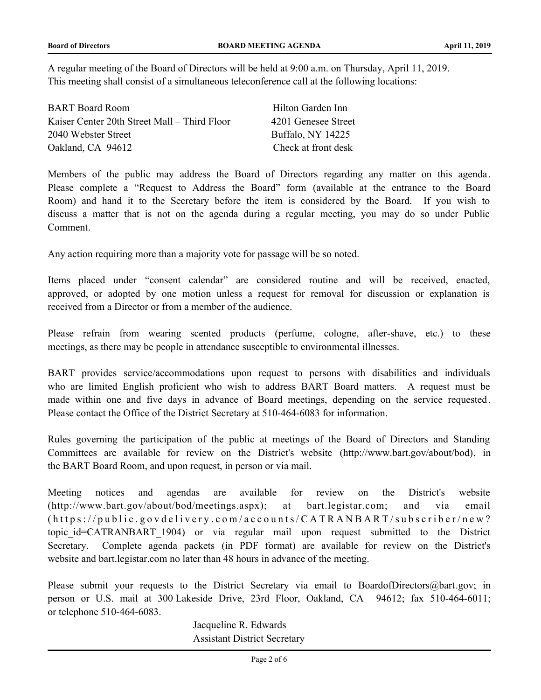A regular meeting of the Board of Directors will be held at 9:00 a.m. on Thursday, April 11, 2019. This meeting shall consist of a simultaneous teleconference call at the following locations:

| <b>BART</b> Board Room                       | Hilton Garden Inn   |
|----------------------------------------------|---------------------|
| Kaiser Center 20th Street Mall – Third Floor | 4201 Genesee Street |
| 2040 Webster Street                          | Buffalo, NY 14225   |
| Oakland, CA 94612                            | Check at front desk |

Members of the public may address the Board of Directors regarding any matter on this agenda. Please complete a "Request to Address the Board" form (available at the entrance to the Board Room) and hand it to the Secretary before the item is considered by the Board. If you wish to discuss a matter that is not on the agenda during a regular meeting, you may do so under Public Comment.

Any action requiring more than a majority vote for passage will be so noted.

Items placed under "consent calendar" are considered routine and will be received, enacted, approved, or adopted by one motion unless a request for removal for discussion or explanation is received from a Director or from a member of the audience.

Please refrain from wearing scented products (perfume, cologne, after-shave, etc.) to these meetings, as there may be people in attendance susceptible to environmental illnesses.

BART provides service/accommodations upon request to persons with disabilities and individuals who are limited English proficient who wish to address BART Board matters. A request must be made within one and five days in advance of Board meetings, depending on the service requested. Please contact the Office of the District Secretary at 510-464-6083 for information.

Rules governing the participation of the public at meetings of the Board of Directors and Standing Committees are available for review on the District's website (http://www.bart.gov/about/bod), in the BART Board Room, and upon request, in person or via mail.

Meeting notices and agendas are available for review on the District's website (http://www.bart.gov/about/bod/meetings.aspx); at bart.legistar.com; and via email  $(https://public.govdelivery.com/accounds/CATRANBART/subscripter/new?$ topic id=CATRANBART 1904) or via regular mail upon request submitted to the District Secretary. Complete agenda packets (in PDF format) are available for review on the District's website and bart.legistar.com no later than 48 hours in advance of the meeting.

Please submit your requests to the District Secretary via email to BoardofDirectors@bart.gov; in person or U.S. mail at 300 Lakeside Drive, 23rd Floor, Oakland, CA 94612; fax 510-464-6011; or telephone 510-464-6083.

> Jacqueline R. Edwards Assistant District Secretary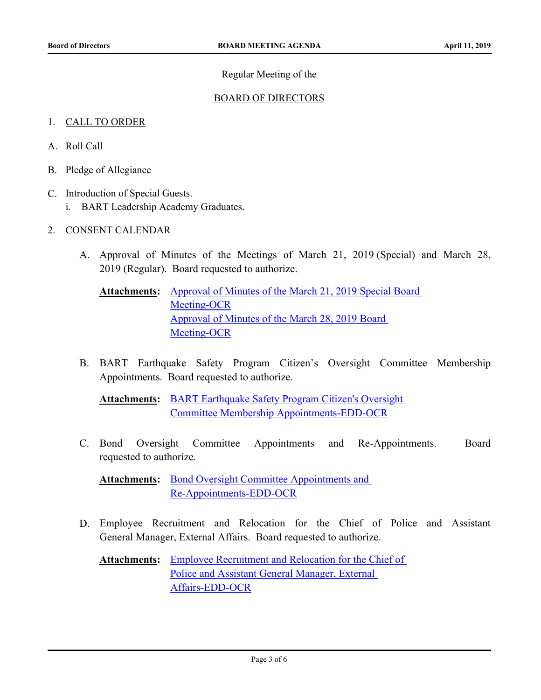# Regular Meeting of the

# BOARD OF DIRECTORS

# 1. CALL TO ORDER

- A. Roll Call
- B. Pledge of Allegiance
- C. Introduction of Special Guests.
	- i. BART Leadership Academy Graduates.
- 2. CONSENT CALENDAR
	- A. [Approval of Minutes of the Meetings of March 21,](http://bart.legistar.com/gateway.aspx?m=l&id=/matter.aspx?key=1476) 2019 (Special) and March 28, 2019 (Regular). Board requested to authorize.
		- Attachments: Approval of Minutes of the March 21, 2019 Special Board Meeting-OCR [Approval of Minutes of the March 28, 2019 Board](http://bart.legistar.com/gateway.aspx?M=F&ID=246a2688-16a3-4d8b-afdd-4c7428a15ce2.pdf)  Meeting-OCR
	- B. [BART Earthquake Safety Program Citizen's Oversight Committee Membership](http://bart.legistar.com/gateway.aspx?m=l&id=/matter.aspx?key=1477) Appointments. Board requested to authorize.

Attachments: **BART Earthquake Safety Program Citizen's Oversight** Committee Membership Appointments-EDD-OCR

C. [Bond Oversight Committee Appointments and Re-Appointments. Board](http://bart.legistar.com/gateway.aspx?m=l&id=/matter.aspx?key=1478) requested to authorize.

Attachments: Bond Oversight Committee Appointments and Re-Appointments-EDD-OCR

D. [Employee Recruitment and Relocation for the Chief of Police and Assistant](http://bart.legistar.com/gateway.aspx?m=l&id=/matter.aspx?key=1479) General Manager, External Affairs. Board requested to authorize.

Attachments: Employee Recruitment and Relocation for the Chief of Police and Assistant General Manager, External Affairs-EDD-OCR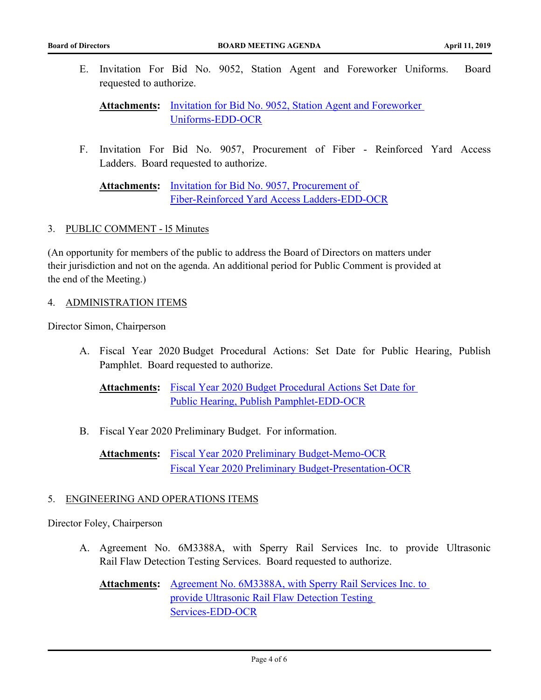E. [Invitation For Bid No. 9052, Station Agent and Foreworker Uniforms. Board](http://bart.legistar.com/gateway.aspx?m=l&id=/matter.aspx?key=1480) requested to authorize.

Attachments: Invitation for Bid No. 9052, Station Agent and Foreworker Uniforms-EDD-OCR

F. [Invitation For Bid No. 9057, Procurement of Fiber - Reinforced Yard Access](http://bart.legistar.com/gateway.aspx?m=l&id=/matter.aspx?key=1481) Ladders. Board requested to authorize.

Invitation for Bid No. 9057, Procurement of [Fiber-Reinforced Yard Access Ladders-EDD-OCR](http://bart.legistar.com/gateway.aspx?M=F&ID=42e1fade-ea45-44c1-a3f1-39a832c8d461.pdf) **Attachments:**

## 3. PUBLIC COMMENT - l5 Minutes

(An opportunity for members of the public to address the Board of Directors on matters under their jurisdiction and not on the agenda. An additional period for Public Comment is provided at the end of the Meeting.)

### 4. ADMINISTRATION ITEMS

Director Simon, Chairperson

A. [Fiscal Year 2020 Budget Procedural Actions: Set Date for Public Hearing, Publish](http://bart.legistar.com/gateway.aspx?m=l&id=/matter.aspx?key=1482) Pamphlet. Board requested to authorize.

Attachments: Fiscal Year 2020 Budget Procedural Actions Set Date for Public Hearing, Publish Pamphlet-EDD-OCR

B. [Fiscal Year 2020 Preliminary Budget. For information.](http://bart.legistar.com/gateway.aspx?m=l&id=/matter.aspx?key=1483)

Attachments: [Fiscal Year 2020 Preliminary Budget-Memo-OCR](http://bart.legistar.com/gateway.aspx?M=F&ID=d4f9a2da-4d50-4c82-bf42-91b234a0ae4f.pdf) [Fiscal Year 2020 Preliminary Budget-Presentation-OCR](http://bart.legistar.com/gateway.aspx?M=F&ID=065fdd9b-a3d0-4c89-8749-3f5dffe10a00.pdf)

## 5. ENGINEERING AND OPERATIONS ITEMS

Director Foley, Chairperson

A. [Agreement No. 6M3388A, with Sperry Rail Services Inc. to provide Ultrasonic](http://bart.legistar.com/gateway.aspx?m=l&id=/matter.aspx?key=1484) Rail Flaw Detection Testing Services. Board requested to authorize.

Attachments: Agreement No. 6M3388A, with Sperry Rail Services Inc. to provide Ultrasonic Rail Flaw Detection Testing Services-EDD-OCR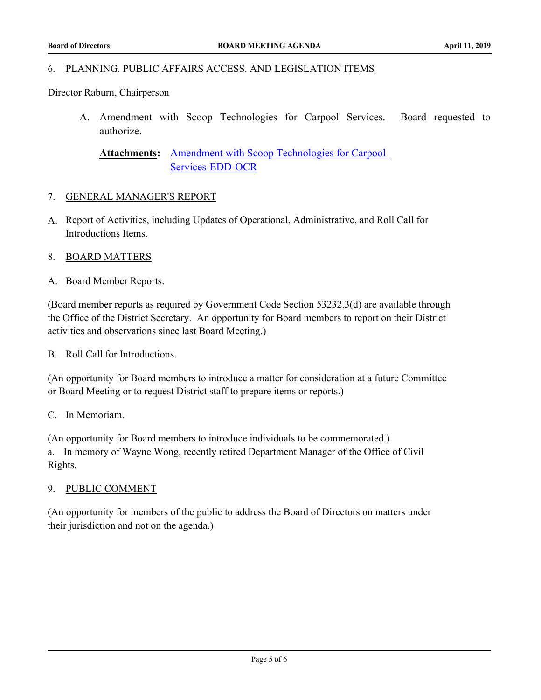#### 6. PLANNING. PUBLIC AFFAIRS ACCESS. AND LEGISLATION ITEMS

Director Raburn, Chairperson

A. [Amendment with Scoop Technologies for Carpool Services. Board requested to](http://bart.legistar.com/gateway.aspx?m=l&id=/matter.aspx?key=1485) authorize.

[Amendment with Scoop Technologies for Carpool](http://bart.legistar.com/gateway.aspx?M=F&ID=e8bd4328-cb4c-4718-86a3-cb1005f234bc.pdf)  Services-EDD-OCR **Attachments:**

#### 7. GENERAL MANAGER'S REPORT

A. Report of Activities, including Updates of Operational, Administrative, and Roll Call for Introductions Items.

### 8. BOARD MATTERS

A. Board Member Reports.

(Board member reports as required by Government Code Section 53232.3(d) are available through the Office of the District Secretary. An opportunity for Board members to report on their District activities and observations since last Board Meeting.)

B. Roll Call for Introductions.

(An opportunity for Board members to introduce a matter for consideration at a future Committee or Board Meeting or to request District staff to prepare items or reports.)

### C. In Memoriam.

(An opportunity for Board members to introduce individuals to be commemorated.) a. In memory of Wayne Wong, recently retired Department Manager of the Office of Civil Rights.

### 9. PUBLIC COMMENT

(An opportunity for members of the public to address the Board of Directors on matters under their jurisdiction and not on the agenda.)